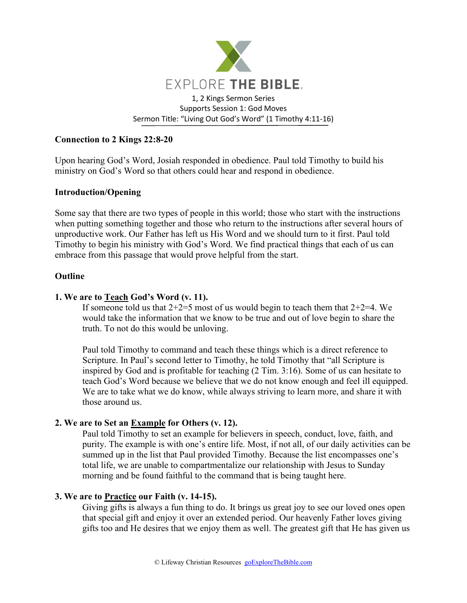

# **Connection to 2 Kings 22:8-20**

Upon hearing God's Word, Josiah responded in obedience. Paul told Timothy to build his ministry on God's Word so that others could hear and respond in obedience.

## **Introduction/Opening**

Some say that there are two types of people in this world; those who start with the instructions when putting something together and those who return to the instructions after several hours of unproductive work. Our Father has left us His Word and we should turn to it first. Paul told Timothy to begin his ministry with God's Word. We find practical things that each of us can embrace from this passage that would prove helpful from the start.

#### **Outline**

#### **1. We are to Teach God's Word (v. 11).**

If someone told us that  $2+2=5$  most of us would begin to teach them that  $2+2=4$ . We would take the information that we know to be true and out of love begin to share the truth. To not do this would be unloving.

Paul told Timothy to command and teach these things which is a direct reference to Scripture. In Paul's second letter to Timothy, he told Timothy that "all Scripture is inspired by God and is profitable for teaching (2 Tim. 3:16). Some of us can hesitate to teach God's Word because we believe that we do not know enough and feel ill equipped. We are to take what we do know, while always striving to learn more, and share it with those around us.

## **2. We are to Set an Example for Others (v. 12).**

Paul told Timothy to set an example for believers in speech, conduct, love, faith, and purity. The example is with one's entire life. Most, if not all, of our daily activities can be summed up in the list that Paul provided Timothy. Because the list encompasses one's total life, we are unable to compartmentalize our relationship with Jesus to Sunday morning and be found faithful to the command that is being taught here.

#### **3. We are to Practice our Faith (v. 14-15).**

Giving gifts is always a fun thing to do. It brings us great joy to see our loved ones open that special gift and enjoy it over an extended period. Our heavenly Father loves giving gifts too and He desires that we enjoy them as well. The greatest gift that He has given us